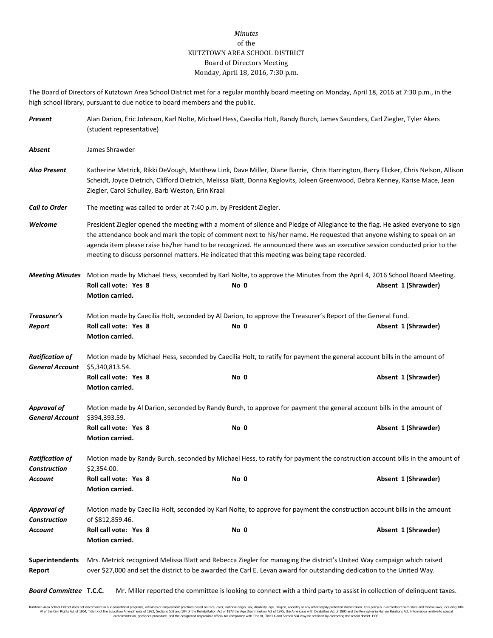## *Minutes* of the KUTZTOWN AREA SCHOOL DISTRICT Board of Directors Meeting Monday, April 18, 2016, 7:30 p.m.

The Board of Directors of Kutztown Area School District met for a regular monthly board meeting on Monday, April 18, 2016 at 7:30 p.m., in the high school library, pursuant to due notice to board members and the public.

| Present                                          | Alan Darion, Eric Johnson, Karl Nolte, Michael Hess, Caecilia Holt, Randy Burch, James Saunders, Carl Ziegler, Tyler Akers<br>(student representative)                                                                                                                                                                                                                                                                                                                                  |      |                                                                                                                                                       |  |  |  |
|--------------------------------------------------|-----------------------------------------------------------------------------------------------------------------------------------------------------------------------------------------------------------------------------------------------------------------------------------------------------------------------------------------------------------------------------------------------------------------------------------------------------------------------------------------|------|-------------------------------------------------------------------------------------------------------------------------------------------------------|--|--|--|
| Absent                                           | James Shrawder                                                                                                                                                                                                                                                                                                                                                                                                                                                                          |      |                                                                                                                                                       |  |  |  |
| <b>Also Present</b>                              | Katherine Metrick, Rikki DeVough, Matthew Link, Dave Miller, Diane Barrie, Chris Harrington, Barry Flicker, Chris Nelson, Allison<br>Scheidt, Joyce Dietrich, Clifford Dietrich, Melissa Blatt, Donna Keglovits, Joleen Greenwood, Debra Kenney, Karise Mace, Jean<br>Ziegler, Carol Schulley, Barb Weston, Erin Kraal                                                                                                                                                                  |      |                                                                                                                                                       |  |  |  |
| <b>Call to Order</b>                             | The meeting was called to order at 7:40 p.m. by President Ziegler.                                                                                                                                                                                                                                                                                                                                                                                                                      |      |                                                                                                                                                       |  |  |  |
| Welcome                                          | President Ziegler opened the meeting with a moment of silence and Pledge of Allegiance to the flag. He asked everyone to sign<br>the attendance book and mark the topic of comment next to his/her name. He requested that anyone wishing to speak on an<br>agenda item please raise his/her hand to be recognized. He announced there was an executive session conducted prior to the<br>meeting to discuss personnel matters. He indicated that this meeting was being tape recorded. |      |                                                                                                                                                       |  |  |  |
| <b>Meeting Minutes</b>                           | Motion made by Michael Hess, seconded by Karl Nolte, to approve the Minutes from the April 4, 2016 School Board Meeting.                                                                                                                                                                                                                                                                                                                                                                |      |                                                                                                                                                       |  |  |  |
|                                                  | Roll call vote: Yes 8<br>Motion carried.                                                                                                                                                                                                                                                                                                                                                                                                                                                | No 0 | Absent 1 (Shrawder)                                                                                                                                   |  |  |  |
| Treasurer's                                      | Motion made by Caecilia Holt, seconded by Al Darion, to approve the Treasurer's Report of the General Fund.                                                                                                                                                                                                                                                                                                                                                                             |      |                                                                                                                                                       |  |  |  |
| Report                                           | Roll call vote: Yes 8<br>Motion carried.                                                                                                                                                                                                                                                                                                                                                                                                                                                | No 0 | Absent 1 (Shrawder)                                                                                                                                   |  |  |  |
| <b>Ratification of</b><br><b>General Account</b> | Motion made by Michael Hess, seconded by Caecilia Holt, to ratify for payment the general account bills in the amount of<br>\$5,340,813.54.                                                                                                                                                                                                                                                                                                                                             |      |                                                                                                                                                       |  |  |  |
|                                                  | Roll call vote: Yes 8<br>Motion carried.                                                                                                                                                                                                                                                                                                                                                                                                                                                | No 0 | Absent 1 (Shrawder)                                                                                                                                   |  |  |  |
| <b>Approval of</b><br><b>General Account</b>     | Motion made by Al Darion, seconded by Randy Burch, to approve for payment the general account bills in the amount of<br>\$394,393.59.                                                                                                                                                                                                                                                                                                                                                   |      |                                                                                                                                                       |  |  |  |
|                                                  | Roll call vote: Yes 8<br>Motion carried.                                                                                                                                                                                                                                                                                                                                                                                                                                                | No 0 | Absent 1 (Shrawder)                                                                                                                                   |  |  |  |
| <b>Ratification of</b><br><b>Construction</b>    | Motion made by Randy Burch, seconded by Michael Hess, to ratify for payment the construction account bills in the amount of<br>\$2,354.00.                                                                                                                                                                                                                                                                                                                                              |      |                                                                                                                                                       |  |  |  |
| Account                                          | Roll call vote: Yes 8<br>Motion carried.                                                                                                                                                                                                                                                                                                                                                                                                                                                | No 0 | Absent 1 (Shrawder)                                                                                                                                   |  |  |  |
| <b>Approval of</b><br><b>Construction</b>        | Motion made by Caecilia Holt, seconded by Karl Nolte, to approve for payment the construction account bills in the amount<br>of \$812,859.46.                                                                                                                                                                                                                                                                                                                                           |      |                                                                                                                                                       |  |  |  |
| Account                                          | Roll call vote: Yes 8<br>Motion carried.                                                                                                                                                                                                                                                                                                                                                                                                                                                | No 0 | Absent 1 (Shrawder)                                                                                                                                   |  |  |  |
| <b>Superintendents</b><br>Report                 | Mrs. Metrick recognized Melissa Blatt and Rebecca Ziegler for managing the district's United Way campaign which raised<br>over \$27,000 and set the district to be awarded the Carl E. Levan award for outstanding dedication to the United Way.                                                                                                                                                                                                                                        |      |                                                                                                                                                       |  |  |  |
|                                                  |                                                                                                                                                                                                                                                                                                                                                                                                                                                                                         |      | <b>Board Committee T.C.C.</b> Mr. Miller reported the committee is looking to connect with a third party to assist in collection of delinguent taxes. |  |  |  |

Kutzlown Area School District does not discriminate in our oducational programs, activities or employment practices based on racional origin and the in the search of the search of the School Area in the School of the Schoo accommodation, grievance procedure, and the designated responsible official for compliance with Title VI, Title IX and Section 504 may be obtained by contacting the school district. EOE.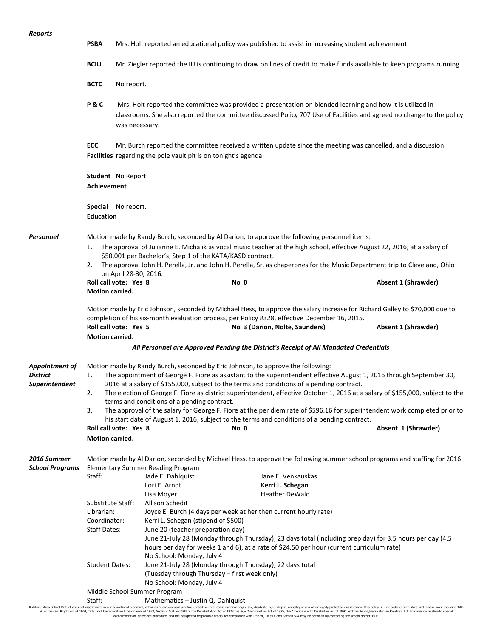**PSBA** Mrs. Holt reported an educational policy was published to assist in increasing student achievement.

**BCIU** Mr. Ziegler reported the IU is continuing to draw on lines of credit to make funds available to keep programs running.

**BCTC** No report.

**P & C** Mrs. Holt reported the committee was provided a presentation on blended learning and how it is utilized in classrooms. She also reported the committee discussed Policy 707 Use of Facilities and agreed no change to the policy was necessary.

**ECC** Mr. Burch reported the committee received a written update since the meeting was cancelled, and a discussion **Facilities** regarding the pole vault pit is on tonight's agenda.

**Student** No Report. **Achievement**

**Special** No report. **Education**

*Personnel* Motion made by Randy Burch, seconded by Al Darion, to approve the following personnel items:

- 1. The approval of Julianne E. Michalik as vocal music teacher at the high school, effective August 22, 2016, at a salary of \$50,001 per Bachelor's, Step 1 of the KATA/KASD contract.
- 2. The approval John H. Perella, Jr. and John H. Perella, Sr. as chaperones for the Music Department trip to Cleveland, Ohio on April 28-30, 2016.

**Roll call vote: Yes 8 No 0 Absent 1 (Shrawder) Motion carried.** Motion made by Eric Johnson, seconded by Michael Hess, to approve the salary increase for Richard Galley to \$70,000 due to completion of his six-month evaluation process, per Policy #328, effective December 16, 2015.

**Roll call vote: Yes 5 No 3 (Darion, Nolte, Saunders) Absent 1 (Shrawder) Motion carried.**

*All Personnel are Approved Pending the District's Receipt of All Mandated Credentials*

*Appointment of* Motion made by Randy Burch, seconded by Eric Johnson, to approve the following: *District* 1. The appointment of George F. Fiore as assistant to the superintendent effective August 1, 2016 through September 30, *Superintendent* 2016 at a salary of \$155,000, subject to the terms and conditions of a pending contract.

- 2. The election of George F. Fiore as district superintendent, effective October 1, 2016 at a salary of \$155,000, subject to the terms and conditions of a pending contract.
	- 3. The approval of the salary for George F. Fiore at the per diem rate of \$596.16 for superintendent work completed prior to his start date of August 1, 2016, subject to the terms and conditions of a pending contract.

**Roll call vote: Yes 8 No 0 Absent 1 (Shrawder) Motion carried.**

*2016 Summer* Motion made by Al Darion, seconded by Michael Hess, to approve the following summer school programs and staffing for 2016: *School Programs* Elementary Summer Reading Program Staff: Jade E. Dahlquist Jane E. Venkauskas Lori E. Arndt **Kerri L. Schegan** Lisa Mover **Heather DeWald** Substitute Staff: Allison Schedit Librarian: Joyce E. Burch (4 days per week at her then current hourly rate) Coordinator: Kerri L. Schegan (stipend of \$500) Staff Dates: June 20 (teacher preparation day) June 21-July 28 (Monday through Thursday), 23 days total (including prep day) for 3.5 hours per day (4.5 hours per day for weeks 1 and 6), at a rate of \$24.50 per hour (current curriculum rate) No School: Monday, July 4 Student Dates: June 21-July 28 (Monday through Thursday), 22 days total (Tuesday through Thursday – first week only) No School: Monday, July 4 Middle School Summer Program Staff: Mathematics – Justin Q. Dahlquist<br>Kutztown Area School District does not discriminate in our educational programs, activities or employment practices based on race, color, national origin,

Kutzlown Area School District does not discriminate in our oducational programs, activities or employment practices based on racional origin and the in the search of the search of the School Area in the School of the Schoo accommodation, grievance procedure, and the designated responsible official for compliance with Title VI, Title IX and Section 504 may be obtained by contacting the school district. EOE.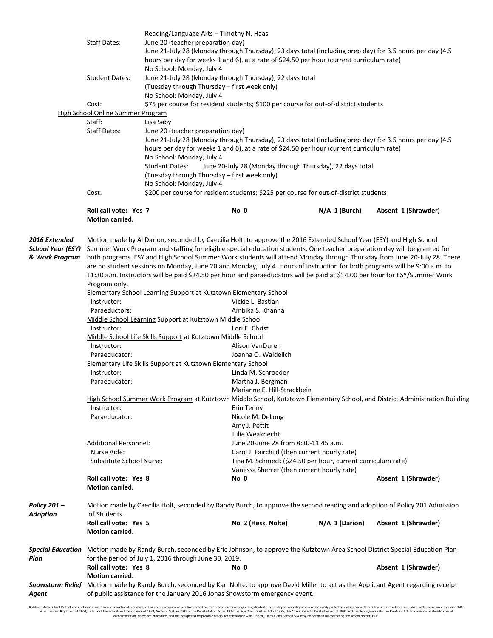|                                                      | Reading/Language Arts - Timothy N. Haas<br><b>Staff Dates:</b><br>June 20 (teacher preparation day)<br>June 21-July 28 (Monday through Thursday), 23 days total (including prep day) for 3.5 hours per day (4.5<br>hours per day for weeks 1 and 6), at a rate of \$24.50 per hour (current curriculum rate) |                                                                                                                                                                                                                                                                                                                                                                                                              |                                                                                                                                                                                                                                                                                                                                                                                                                                                                                                                                                                                                                                                                                                                                                                                                                                                                                                                                                                                                                                                                                                                                                  |                                                             |                                                                                                                             |  |
|------------------------------------------------------|--------------------------------------------------------------------------------------------------------------------------------------------------------------------------------------------------------------------------------------------------------------------------------------------------------------|--------------------------------------------------------------------------------------------------------------------------------------------------------------------------------------------------------------------------------------------------------------------------------------------------------------------------------------------------------------------------------------------------------------|--------------------------------------------------------------------------------------------------------------------------------------------------------------------------------------------------------------------------------------------------------------------------------------------------------------------------------------------------------------------------------------------------------------------------------------------------------------------------------------------------------------------------------------------------------------------------------------------------------------------------------------------------------------------------------------------------------------------------------------------------------------------------------------------------------------------------------------------------------------------------------------------------------------------------------------------------------------------------------------------------------------------------------------------------------------------------------------------------------------------------------------------------|-------------------------------------------------------------|-----------------------------------------------------------------------------------------------------------------------------|--|
|                                                      | <b>Student Dates:</b>                                                                                                                                                                                                                                                                                        | No School: Monday, July 4                                                                                                                                                                                                                                                                                                                                                                                    | June 21-July 28 (Monday through Thursday), 22 days total<br>(Tuesday through Thursday - first week only)                                                                                                                                                                                                                                                                                                                                                                                                                                                                                                                                                                                                                                                                                                                                                                                                                                                                                                                                                                                                                                         |                                                             |                                                                                                                             |  |
|                                                      |                                                                                                                                                                                                                                                                                                              | No School: Monday, July 4                                                                                                                                                                                                                                                                                                                                                                                    |                                                                                                                                                                                                                                                                                                                                                                                                                                                                                                                                                                                                                                                                                                                                                                                                                                                                                                                                                                                                                                                                                                                                                  |                                                             |                                                                                                                             |  |
|                                                      | Cost:                                                                                                                                                                                                                                                                                                        |                                                                                                                                                                                                                                                                                                                                                                                                              | \$75 per course for resident students; \$100 per course for out-of-district students                                                                                                                                                                                                                                                                                                                                                                                                                                                                                                                                                                                                                                                                                                                                                                                                                                                                                                                                                                                                                                                             |                                                             |                                                                                                                             |  |
|                                                      | <b>High School Online Summer Program</b>                                                                                                                                                                                                                                                                     |                                                                                                                                                                                                                                                                                                                                                                                                              |                                                                                                                                                                                                                                                                                                                                                                                                                                                                                                                                                                                                                                                                                                                                                                                                                                                                                                                                                                                                                                                                                                                                                  |                                                             |                                                                                                                             |  |
|                                                      | Staff:                                                                                                                                                                                                                                                                                                       | Lisa Saby                                                                                                                                                                                                                                                                                                                                                                                                    |                                                                                                                                                                                                                                                                                                                                                                                                                                                                                                                                                                                                                                                                                                                                                                                                                                                                                                                                                                                                                                                                                                                                                  |                                                             |                                                                                                                             |  |
|                                                      | <b>Staff Dates:</b>                                                                                                                                                                                                                                                                                          | June 20 (teacher preparation day)<br>June 21-July 28 (Monday through Thursday), 23 days total (including prep day) for 3.5 hours per day (4.5<br>hours per day for weeks 1 and 6), at a rate of \$24.50 per hour (current curriculum rate)<br>No School: Monday, July 4<br><b>Student Dates:</b><br>June 20-July 28 (Monday through Thursday), 22 days total<br>(Tuesday through Thursday – first week only) |                                                                                                                                                                                                                                                                                                                                                                                                                                                                                                                                                                                                                                                                                                                                                                                                                                                                                                                                                                                                                                                                                                                                                  |                                                             |                                                                                                                             |  |
|                                                      |                                                                                                                                                                                                                                                                                                              | No School: Monday, July 4                                                                                                                                                                                                                                                                                                                                                                                    |                                                                                                                                                                                                                                                                                                                                                                                                                                                                                                                                                                                                                                                                                                                                                                                                                                                                                                                                                                                                                                                                                                                                                  |                                                             |                                                                                                                             |  |
|                                                      | Cost:<br>\$200 per course for resident students; \$225 per course for out-of-district students                                                                                                                                                                                                               |                                                                                                                                                                                                                                                                                                                                                                                                              |                                                                                                                                                                                                                                                                                                                                                                                                                                                                                                                                                                                                                                                                                                                                                                                                                                                                                                                                                                                                                                                                                                                                                  |                                                             |                                                                                                                             |  |
|                                                      | Roll call vote: Yes 7<br><b>Motion carried.</b>                                                                                                                                                                                                                                                              |                                                                                                                                                                                                                                                                                                                                                                                                              | No 0                                                                                                                                                                                                                                                                                                                                                                                                                                                                                                                                                                                                                                                                                                                                                                                                                                                                                                                                                                                                                                                                                                                                             | $N/A$ 1 (Burch)                                             | Absent 1 (Shrawder)                                                                                                         |  |
| 2016 Extended<br>School Year (ESY)<br>& Work Program | Program only.<br>Instructor:<br>Paraeductors:<br>Instructor:<br>Instructor:<br>Paraeducator:<br>Instructor:<br>Paraeducator:<br>Instructor:<br>Paraeducator:                                                                                                                                                 |                                                                                                                                                                                                                                                                                                                                                                                                              | Motion made by Al Darion, seconded by Caecilia Holt, to approve the 2016 Extended School Year (ESY) and High School<br>Summer Work Program and staffing for eligible special education students. One teacher preparation day will be granted for<br>both programs. ESY and High School Summer Work students will attend Monday through Thursday from June 20-July 28. There<br>are no student sessions on Monday, June 20 and Monday, July 4. Hours of instruction for both programs will be 9:00 a.m. to<br>11:30 a.m. Instructors will be paid \$24.50 per hour and paraeducators will be paid at \$14.00 per hour for ESY/Summer Work<br><b>Elementary School Learning Support at Kutztown Elementary School</b><br>Vickie L. Bastian<br>Ambika S. Khanna<br>Middle School Learning Support at Kutztown Middle School<br>Lori E. Christ<br>Middle School Life Skills Support at Kutztown Middle School<br>Alison VanDuren<br>Joanna O. Waidelich<br>Elementary Life Skills Support at Kutztown Elementary School<br>Linda M. Schroeder<br>Martha J. Bergman<br>Marianne E. Hill-Strackbein<br>Erin Tenny<br>Nicole M. DeLong<br>Amy J. Pettit |                                                             | High School Summer Work Program at Kutztown Middle School, Kutztown Elementary School, and District Administration Building |  |
|                                                      |                                                                                                                                                                                                                                                                                                              |                                                                                                                                                                                                                                                                                                                                                                                                              | Julie Weaknecht                                                                                                                                                                                                                                                                                                                                                                                                                                                                                                                                                                                                                                                                                                                                                                                                                                                                                                                                                                                                                                                                                                                                  |                                                             |                                                                                                                             |  |
|                                                      | <b>Additional Personnel:</b>                                                                                                                                                                                                                                                                                 |                                                                                                                                                                                                                                                                                                                                                                                                              | June 20-June 28 from 8:30-11:45 a.m.                                                                                                                                                                                                                                                                                                                                                                                                                                                                                                                                                                                                                                                                                                                                                                                                                                                                                                                                                                                                                                                                                                             |                                                             |                                                                                                                             |  |
|                                                      | Nurse Aide:                                                                                                                                                                                                                                                                                                  |                                                                                                                                                                                                                                                                                                                                                                                                              | Carol J. Fairchild (then current hourly rate)                                                                                                                                                                                                                                                                                                                                                                                                                                                                                                                                                                                                                                                                                                                                                                                                                                                                                                                                                                                                                                                                                                    |                                                             |                                                                                                                             |  |
|                                                      | Substitute School Nurse:                                                                                                                                                                                                                                                                                     |                                                                                                                                                                                                                                                                                                                                                                                                              | Vanessa Sherrer (then current hourly rate)                                                                                                                                                                                                                                                                                                                                                                                                                                                                                                                                                                                                                                                                                                                                                                                                                                                                                                                                                                                                                                                                                                       | Tina M. Schmeck (\$24.50 per hour, current curriculum rate) |                                                                                                                             |  |
|                                                      | Roll call vote: Yes 8<br>Motion carried.                                                                                                                                                                                                                                                                     |                                                                                                                                                                                                                                                                                                                                                                                                              | No 0                                                                                                                                                                                                                                                                                                                                                                                                                                                                                                                                                                                                                                                                                                                                                                                                                                                                                                                                                                                                                                                                                                                                             |                                                             | Absent 1 (Shrawder)                                                                                                         |  |
| Policy 201 –<br>Adoption                             | Motion made by Caecilia Holt, seconded by Randy Burch, to approve the second reading and adoption of Policy 201 Admission<br>of Students.                                                                                                                                                                    |                                                                                                                                                                                                                                                                                                                                                                                                              |                                                                                                                                                                                                                                                                                                                                                                                                                                                                                                                                                                                                                                                                                                                                                                                                                                                                                                                                                                                                                                                                                                                                                  |                                                             |                                                                                                                             |  |
|                                                      | Roll call vote: Yes 5<br>Motion carried.                                                                                                                                                                                                                                                                     |                                                                                                                                                                                                                                                                                                                                                                                                              | No 2 (Hess, Nolte)                                                                                                                                                                                                                                                                                                                                                                                                                                                                                                                                                                                                                                                                                                                                                                                                                                                                                                                                                                                                                                                                                                                               | $N/A$ 1 (Darion)                                            | Absent 1 (Shrawder)                                                                                                         |  |
| Plan                                                 | Special Education Motion made by Randy Burch, seconded by Eric Johnson, to approve the Kutztown Area School District Special Education Plan<br>for the period of July 1, 2016 through June 30, 2019.                                                                                                         |                                                                                                                                                                                                                                                                                                                                                                                                              |                                                                                                                                                                                                                                                                                                                                                                                                                                                                                                                                                                                                                                                                                                                                                                                                                                                                                                                                                                                                                                                                                                                                                  |                                                             |                                                                                                                             |  |
|                                                      | Roll call vote: Yes 8<br>Motion carried.                                                                                                                                                                                                                                                                     |                                                                                                                                                                                                                                                                                                                                                                                                              | No 0                                                                                                                                                                                                                                                                                                                                                                                                                                                                                                                                                                                                                                                                                                                                                                                                                                                                                                                                                                                                                                                                                                                                             |                                                             | Absent 1 (Shrawder)                                                                                                         |  |
| Agent                                                | Snowstorm Relief Motion made by Randy Burch, seconded by Karl Nolte, to approve David Miller to act as the Applicant Agent regarding receipt<br>of public assistance for the January 2016 Jonas Snowstorm emergency event.                                                                                   |                                                                                                                                                                                                                                                                                                                                                                                                              |                                                                                                                                                                                                                                                                                                                                                                                                                                                                                                                                                                                                                                                                                                                                                                                                                                                                                                                                                                                                                                                                                                                                                  |                                                             |                                                                                                                             |  |

Kutztown Area School District does not discriminate in our educational programs, activities or employment practices based on race, color, national origin, sex, disability, age, religion, ancestry or any other legally prot